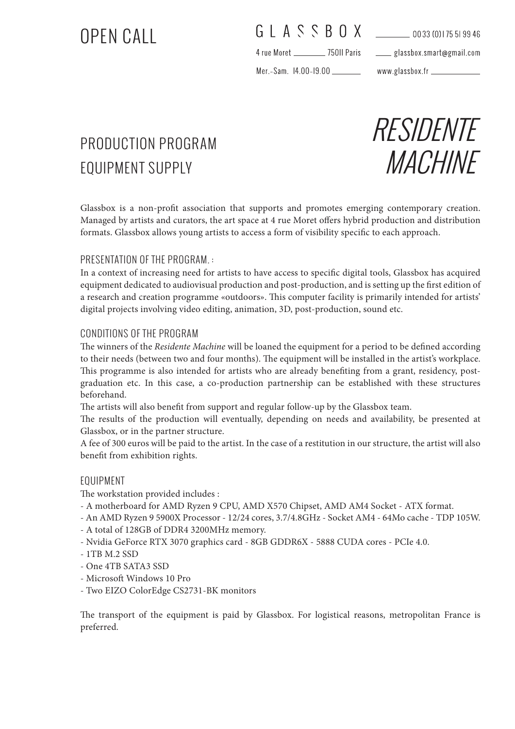# OPEN CALL

### G L A S S B O X 10033 (0) 175 51 99 46

4 rue Moret \_\_\_\_\_\_\_\_\_\_\_\_\_ 750II Paris

glassbox.smart@gmail.com

Mer.-Sam. 14.00-19.00

www.glassbox.fr \_\_\_\_\_

## PRODUCTION PROGRAM EQUIPMENT SUPPLY



Glassbox is a non-profit association that supports and promotes emerging contemporary creation. Managed by artists and curators, the art space at 4 rue Moret offers hybrid production and distribution formats. Glassbox allows young artists to access a form of visibility specific to each approach.

#### PRESENTATION OF THE PROGRAM. :

In a context of increasing need for artists to have access to specific digital tools, Glassbox has acquired equipment dedicated to audiovisual production and post-production, and is setting up the first edition of a research and creation programme «outdoors». This computer facility is primarily intended for artists' digital projects involving video editing, animation, 3D, post-production, sound etc.

#### CONDITIONS OF THE PROGRAM

The winners of the *Residente Machine* will be loaned the equipment for a period to be defined according to their needs (between two and four months). The equipment will be installed in the artist's workplace. This programme is also intended for artists who are already benefiting from a grant, residency, postgraduation etc. In this case, a co-production partnership can be established with these structures beforehand.

The artists will also benefit from support and regular follow-up by the Glassbox team.

The results of the production will eventually, depending on needs and availability, be presented at Glassbox, or in the partner structure.

A fee of 300 euros will be paid to the artist. In the case of a restitution in our structure, the artist will also benefit from exhibition rights.

#### EQUIPMENT

The workstation provided includes :

- A motherboard for AMD Ryzen 9 CPU, AMD X570 Chipset, AMD AM4 Socket ATX format.
- An AMD Ryzen 9 5900X Processor 12/24 cores, 3.7/4.8GHz Socket AM4 64Mo cache TDP 105W.
- A total of 128GB of DDR4 3200MHz memory.
- Nvidia GeForce RTX 3070 graphics card 8GB GDDR6X 5888 CUDA cores PCIe 4.0.
- 1TB M.2 SSD
- One 4TB SATA3 SSD
- Microsoft Windows 10 Pro
- Two EIZO ColorEdge CS2731-BK monitors

The transport of the equipment is paid by Glassbox. For logistical reasons, metropolitan France is preferred.